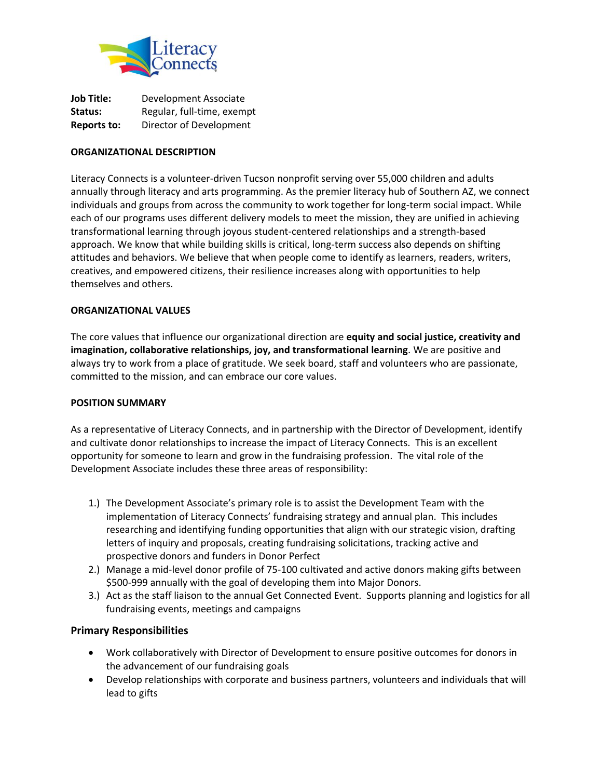

| <b>Job Title:</b>  | Development Associate      |
|--------------------|----------------------------|
| Status:            | Regular, full-time, exempt |
| <b>Reports to:</b> | Director of Development    |

#### **ORGANIZATIONAL DESCRIPTION**

Literacy Connects is a volunteer-driven Tucson nonprofit serving over 55,000 children and adults annually through literacy and arts programming. As the premier literacy hub of Southern AZ, we connect individuals and groups from across the community to work together for long-term social impact. While each of our programs uses different delivery models to meet the mission, they are unified in achieving transformational learning through joyous student-centered relationships and a strength-based approach. We know that while building skills is critical, long-term success also depends on shifting attitudes and behaviors. We believe that when people come to identify as learners, readers, writers, creatives, and empowered citizens, their resilience increases along with opportunities to help themselves and others.

#### **ORGANIZATIONAL VALUES**

The core values that influence our organizational direction are **equity and social justice, creativity and imagination, collaborative relationships, joy, and transformational learning**. We are positive and always try to work from a place of gratitude. We seek board, staff and volunteers who are passionate, committed to the mission, and can embrace our core values.

#### **POSITION SUMMARY**

As a representative of Literacy Connects, and in partnership with the Director of Development, identify and cultivate donor relationships to increase the impact of Literacy Connects. This is an excellent opportunity for someone to learn and grow in the fundraising profession. The vital role of the Development Associate includes these three areas of responsibility:

- 1.) The Development Associate's primary role is to assist the Development Team with the implementation of Literacy Connects' fundraising strategy and annual plan. This includes researching and identifying funding opportunities that align with our strategic vision, drafting letters of inquiry and proposals, creating fundraising solicitations, tracking active and prospective donors and funders in Donor Perfect
- 2.) Manage a mid-level donor profile of 75-100 cultivated and active donors making gifts between \$500-999 annually with the goal of developing them into Major Donors.
- 3.) Act as the staff liaison to the annual Get Connected Event. Supports planning and logistics for all fundraising events, meetings and campaigns

## **Primary Responsibilities**

- Work collaboratively with Director of Development to ensure positive outcomes for donors in the advancement of our fundraising goals
- Develop relationships with corporate and business partners, volunteers and individuals that will lead to gifts